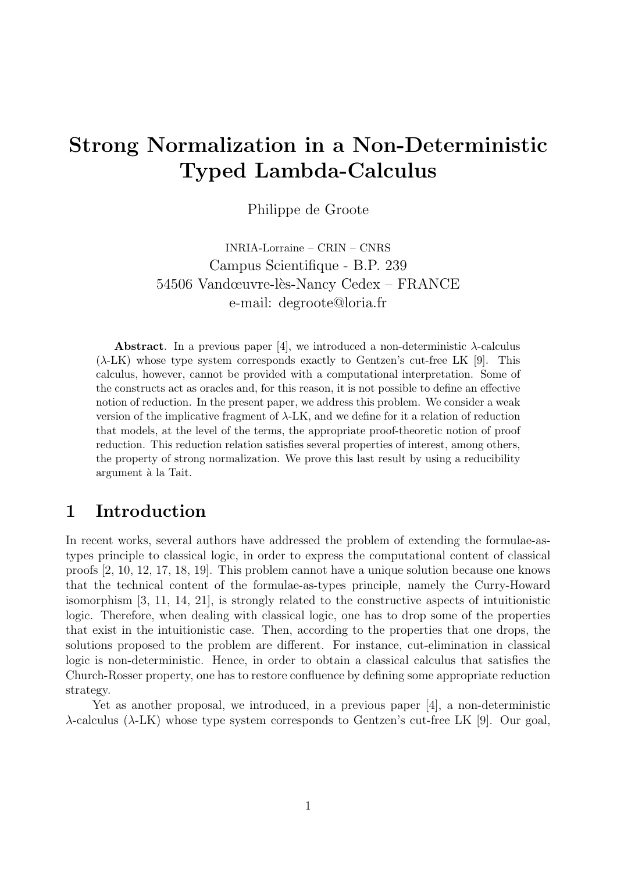# Strong Normalization in a Non-Deterministic Typed Lambda-Calculus

Philippe de Groote

INRIA-Lorraine – CRIN – CNRS Campus Scientifique - B.P. 239 54506 Vandœuvre-lès-Nancy Cedex – FRANCE e-mail: degroote@loria.fr

**Abstract**. In a previous paper [4], we introduced a non-deterministic  $\lambda$ -calculus  $(\lambda$ -LK) whose type system corresponds exactly to Gentzen's cut-free LK [9]. This calculus, however, cannot be provided with a computational interpretation. Some of the constructs act as oracles and, for this reason, it is not possible to define an effective notion of reduction. In the present paper, we address this problem. We consider a weak version of the implicative fragment of  $\lambda$ -LK, and we define for it a relation of reduction that models, at the level of the terms, the appropriate proof-theoretic notion of proof reduction. This reduction relation satisfies several properties of interest, among others, the property of strong normalization. We prove this last result by using a reducibility argument à la Tait.

### 1 Introduction

In recent works, several authors have addressed the problem of extending the formulae-astypes principle to classical logic, in order to express the computational content of classical proofs [2, 10, 12, 17, 18, 19]. This problem cannot have a unique solution because one knows that the technical content of the formulae-as-types principle, namely the Curry-Howard isomorphism [3, 11, 14, 21], is strongly related to the constructive aspects of intuitionistic logic. Therefore, when dealing with classical logic, one has to drop some of the properties that exist in the intuitionistic case. Then, according to the properties that one drops, the solutions proposed to the problem are different. For instance, cut-elimination in classical logic is non-deterministic. Hence, in order to obtain a classical calculus that satisfies the Church-Rosser property, one has to restore confluence by defining some appropriate reduction strategy.

Yet as another proposal, we introduced, in a previous paper [4], a non-deterministic λ-calculus (λ-LK) whose type system corresponds to Gentzen's cut-free LK [9]. Our goal,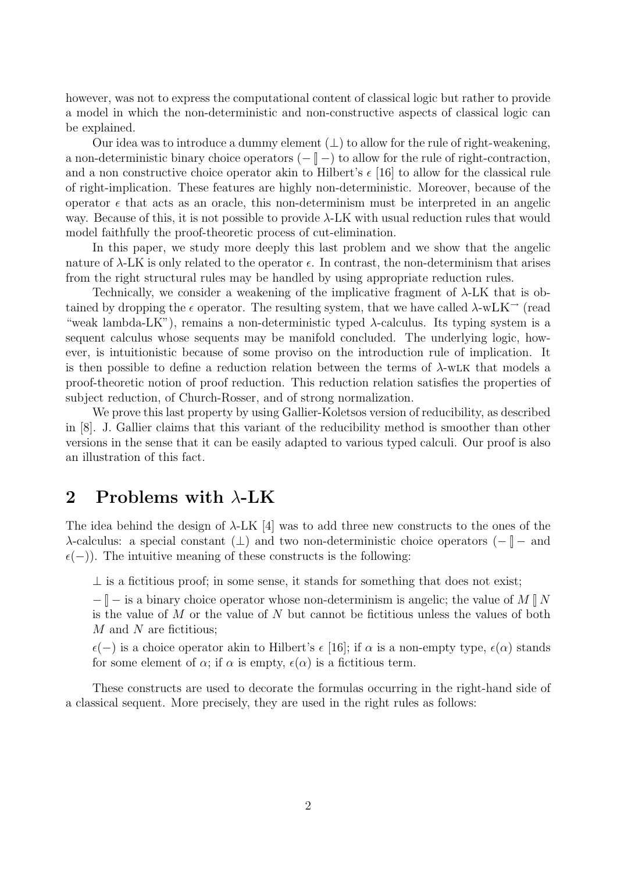however, was not to express the computational content of classical logic but rather to provide a model in which the non-deterministic and non-constructive aspects of classical logic can be explained.

Our idea was to introduce a dummy element  $(\perp)$  to allow for the rule of right-weakening, a non-deterministic binary choice operators  $(- \nightharpoonup -)$  to allow for the rule of right-contraction, and a non constructive choice operator akin to Hilbert's  $\epsilon$  [16] to allow for the classical rule of right-implication. These features are highly non-deterministic. Moreover, because of the operator  $\epsilon$  that acts as an oracle, this non-determinism must be interpreted in an angelic way. Because of this, it is not possible to provide  $\lambda$ -LK with usual reduction rules that would model faithfully the proof-theoretic process of cut-elimination.

In this paper, we study more deeply this last problem and we show that the angelic nature of  $\lambda$ -LK is only related to the operator  $\epsilon$ . In contrast, the non-determinism that arises from the right structural rules may be handled by using appropriate reduction rules.

Technically, we consider a weakening of the implicative fragment of λ-LK that is obtained by dropping the  $\epsilon$  operator. The resulting system, that we have called  $\lambda$ -wLK<sup> $\rightarrow$ </sup> (read "weak lambda-LK"), remains a non-deterministic typed  $\lambda$ -calculus. Its typing system is a sequent calculus whose sequents may be manifold concluded. The underlying logic, however, is intuitionistic because of some proviso on the introduction rule of implication. It is then possible to define a reduction relation between the terms of  $\lambda$ -wLK that models a proof-theoretic notion of proof reduction. This reduction relation satisfies the properties of subject reduction, of Church-Rosser, and of strong normalization.

We prove this last property by using Gallier-Koletsos version of reducibility, as described in [8]. J. Gallier claims that this variant of the reducibility method is smoother than other versions in the sense that it can be easily adapted to various typed calculi. Our proof is also an illustration of this fact.

### 2 Problems with  $\lambda$ -LK

The idea behind the design of  $\lambda$ -LK [4] was to add three new constructs to the ones of the  $\lambda$ -calculus: a special constant  $(\bot)$  and two non-deterministic choice operators  $(- \parallel -$  and  $\epsilon(-)$ ). The intuitive meaning of these constructs is the following:

 $\perp$  is a fictitious proof; in some sense, it stands for something that does not exist;

 $-\Vert -\Vert$  is a binary choice operator whose non-determinism is angelic; the value of M  $\Vert N$ is the value of  $M$  or the value of  $N$  but cannot be fictitious unless the values of both  $M$  and  $N$  are fictitious;

 $\epsilon(-)$  is a choice operator akin to Hilbert's  $\epsilon$  [16]; if  $\alpha$  is a non-empty type,  $\epsilon(\alpha)$  stands for some element of  $\alpha$ ; if  $\alpha$  is empty,  $\epsilon(\alpha)$  is a fictitious term.

These constructs are used to decorate the formulas occurring in the right-hand side of a classical sequent. More precisely, they are used in the right rules as follows: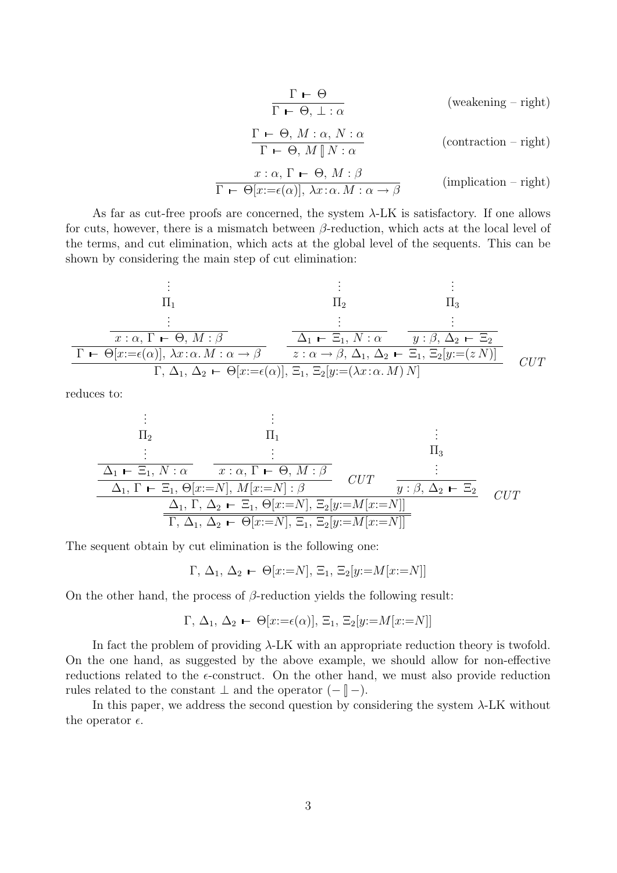$$
\frac{\Gamma \vdash \Theta}{\Gamma \vdash \Theta, \bot : \alpha} \qquad \qquad \text{(weakening - right)}
$$
\n
$$
\frac{\Gamma \vdash \Theta, M : \alpha, N : \alpha}{\Gamma \vdash \Theta, M \mathbin{N} : \alpha} \qquad \qquad \text{(contraction - right)}
$$
\n
$$
x : \alpha, \Gamma \vdash \Theta, M : \beta
$$
\n
$$
\frac{x : \alpha, \Gamma \vdash \Theta, M : \beta}{\Gamma \vdash \Theta[x := \epsilon(\alpha)], \lambda x : \alpha. M : \alpha \to \beta} \qquad \qquad \text{(implication - right)}
$$

As far as cut-free proofs are concerned, the system  $\lambda$ -LK is satisfactory. If one allows for cuts, however, there is a mismatch between  $\beta$ -reduction, which acts at the local level of the terms, and cut elimination, which acts at the global level of the sequents. This can be shown by considering the main step of cut elimination:

$$
\begin{array}{cccc}\n\vdots & \vdots & \vdots & \vdots \\
\Pi_1 & \Pi_2 & \Pi_3 & \Pi_4 \\
\vdots & \vdots & \vdots & \vdots \\
\hline\n\pi \cdot \alpha, \Gamma \vdash \Theta, M : \beta & \Delta_1 \vdash \Xi_1, N : \alpha & y : \beta, \Delta_2 \vdash \Xi_2 \\
\hline\n\Gamma \vdash \Theta[x := \epsilon(\alpha)], \lambda x : \alpha. M : \alpha \to \beta & z : \alpha \to \beta, \Delta_1, \Delta_2 \vdash \Xi_1, \Xi_2[y := (z N)] \\
\hline\n\Gamma, \Delta_1, \Delta_2 \vdash \Theta[x := \epsilon(\alpha)], \Xi_1, \Xi_2[y := (\lambda x : \alpha. M) N]\n\end{array}
$$
 *CUT*

reduces to:

$$
\begin{array}{cccc}\n\vdots & \vdots & \vdots & \vdots \\
\Pi_2 & \Pi_1 & & \vdots \\
\hline\n\Delta_1 \vdash \Xi_1, N : \alpha & x : \alpha, \Gamma \vdash \Theta, M : \beta & & \Pi_3 \\
\hline\n\Delta_1, \Gamma \vdash \Xi_1, \Theta[x := N], M[x := N] : \beta & & \n\mathcal{U}T & \frac{\vdots}{y : \beta, \Delta_2 \vdash \Xi_2} \\
\hline\n\Delta_1, \Gamma \vdash \Xi_1, \Theta[x := N], M[x := N] : \beta & & \n\mathcal{U}T & & \n\end{array}
$$
\n
$$
\begin{array}{cccc}\n\Delta_1, \Gamma \vdash \Xi_1, \Theta[x := N], \Delta_2 \vdash \Xi_1, \Theta[x := N], \Xi_2[y := M[x := N]] \\
\hline\n\overline{\Gamma, \Delta_1, \Delta_2 \vdash \Theta[x := N], \Xi_1, \Xi_2[y := M[x := N]]}\n\end{array}
$$
\n
$$
\begin{array}{cccc}\n\Box\n\end{array}
$$

The sequent obtain by cut elimination is the following one:

 $Γ, Δ<sub>1</sub>, Δ<sub>2</sub>$  ← Θ[x:=N],  $\Xi_1$ ,  $\Xi_2[y:=M[x:=N]]$ 

On the other hand, the process of  $\beta$ -reduction yields the following result:

$$
\Gamma, \Delta_1, \Delta_2 \vdash \Theta[x:=\epsilon(\alpha)], \Xi_1, \Xi_2[y:=M[x:=N]]
$$

In fact the problem of providing  $\lambda$ -LK with an appropriate reduction theory is twofold. On the one hand, as suggested by the above example, we should allow for non-effective reductions related to the  $\epsilon$ -construct. On the other hand, we must also provide reduction rules related to the constant  $\perp$  and the operator  $(- \parallel -).$ 

In this paper, we address the second question by considering the system  $\lambda$ -LK without the operator  $\epsilon$ .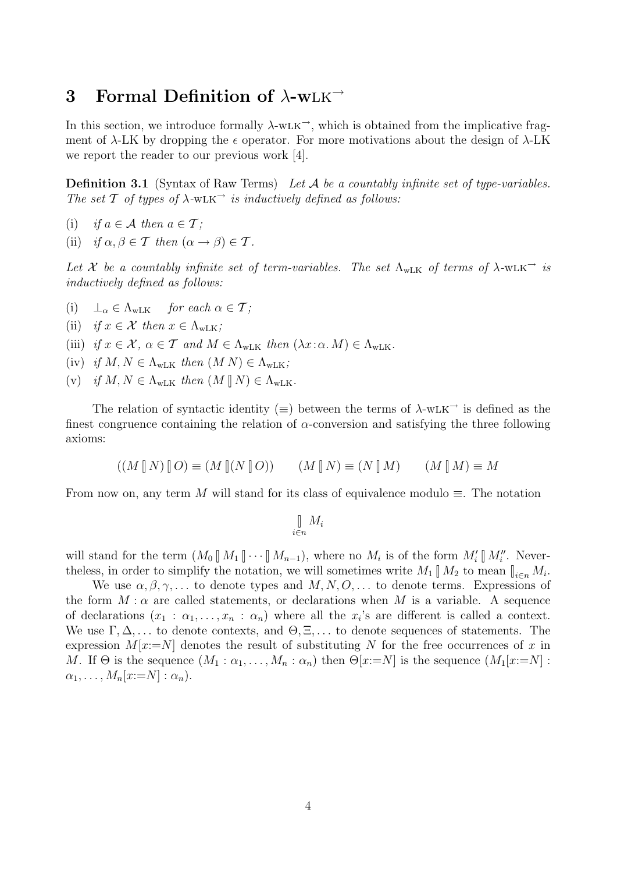# 3 Formal Definition of  $\lambda$ -wLK<sup>→</sup>

In this section, we introduce formally  $\lambda$ -wLK<sup> $\rightarrow$ </sup>, which is obtained from the implicative fragment of  $\lambda$ -LK by dropping the  $\epsilon$  operator. For more motivations about the design of  $\lambda$ -LK we report the reader to our previous work [4].

**Definition 3.1** (Syntax of Raw Terms) Let  $A$  be a countably infinite set of type-variables. The set  $T$  of types of  $\lambda$ -wLK<sup> $\rightarrow$ </sup> is inductively defined as follows:

- (i) if  $a \in \mathcal{A}$  then  $a \in \mathcal{T}$ ;
- (ii) if  $\alpha, \beta \in \mathcal{T}$  then  $(\alpha \to \beta) \in \mathcal{T}$ .

Let X be a countably infinite set of term-variables. The set  $\Lambda_{\text{wLK}}$  of terms of  $\lambda$ -wLK<sup> $\rightarrow$ </sup> is inductively defined as follows:

- (i)  $\perp_{\alpha} \in \Lambda_{wLK}$  for each  $\alpha \in \mathcal{T}$ ;
- (ii) if  $x \in \mathcal{X}$  then  $x \in \Lambda_{wLK}$ ;
- (iii) if  $x \in \mathcal{X}$ ,  $\alpha \in \mathcal{T}$  and  $M \in \Lambda_{\text{wLK}}$  then  $(\lambda x : \alpha \cdot M) \in \Lambda_{\text{wLK}}$ .
- (iv) if  $M, N \in \Lambda_{\text{wLK}}$  then  $(M N) \in \Lambda_{\text{wLK}}$ ;
- (v) if  $M, N \in \Lambda_{\text{wLK}}$  then  $(M \parallel N) \in \Lambda_{\text{wLK}}$ .

The relation of syntactic identity ( $\equiv$ ) between the terms of  $\lambda$ -wLK<sup>→</sup> is defined as the finest congruence containing the relation of  $\alpha$ -conversion and satisfying the three following axioms:

$$
((M \mathbin{R} N) \mathbin{R} O) \equiv (M \mathbin{R} (N \mathbin{R} O)) \qquad (M \mathbin{R} N) \equiv (N \mathbin{R} M) \qquad (M \mathbin{R} M) \equiv M
$$

From now on, any term M will stand for its class of equivalence modulo  $\equiv$ . The notation

$$
\bigcup_{i \in n} M_i
$$

will stand for the term  $(M_0 \llbracket M_1 \rrbracket \cdots \llbracket M_{n-1}),$  where no  $M_i$  is of the form  $M_i' \llbracket M_i''$ . Neverthe less, in order to simplify the notation, we will sometimes write  $M_1 \parallel M_2$  to mean  $\parallel_{i \in n} M_i$ .

We use  $\alpha, \beta, \gamma, \ldots$  to denote types and  $M, N, O, \ldots$  to denote terms. Expressions of the form  $M : \alpha$  are called statements, or declarations when M is a variable. A sequence of declarations  $(x_1 : \alpha_1, \ldots, x_n : \alpha_n)$  where all the  $x_i$ 's are different is called a context. We use  $\Gamma, \Delta, \ldots$  to denote contexts, and  $\Theta, \Xi, \ldots$  to denote sequences of statements. The expression  $M[x:=N]$  denotes the result of substituting N for the free occurrences of x in M. If  $\Theta$  is the sequence  $(M_1 : \alpha_1, \ldots, M_n : \alpha_n)$  then  $\Theta[x:=N]$  is the sequence  $(M_1[x:=N]$ :  $\alpha_1, \ldots, M_n[x:=N]: \alpha_n$ ).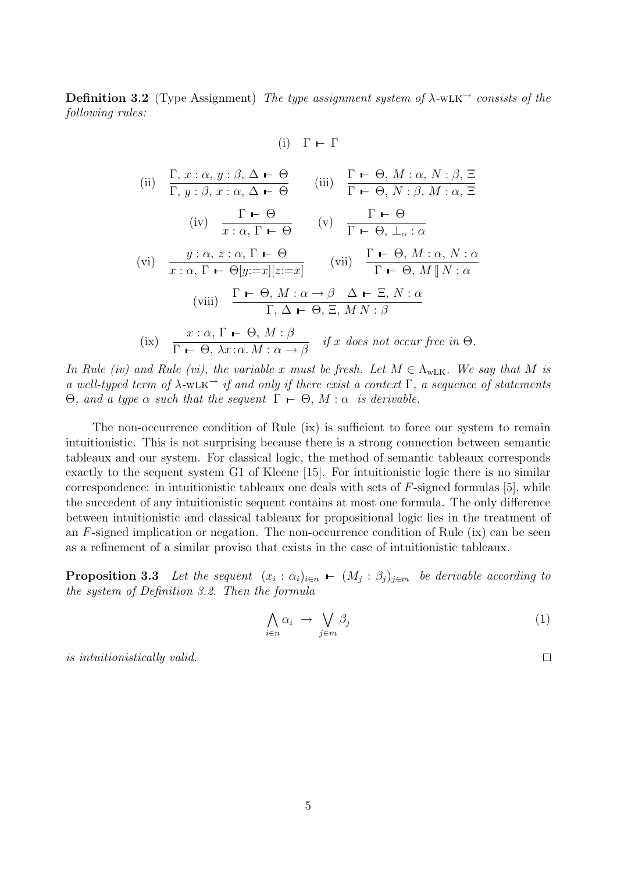Definition 3.2 (Type Assignment) The type assignment system of  $\lambda$ -wLK<sup> $\rightarrow$ </sup> consists of the following rules:

(i) 
$$
\Gamma \vdash \Gamma
$$

(ii) 
$$
\Gamma, x : \alpha, y : \beta, \Delta \vdash \Theta
$$
 (iii)  $\Gamma \vdash \Theta, M : \alpha, N : \beta, \Xi$   
\n $\Gamma, y : \beta, x : \alpha, \Delta \vdash \Theta$  (iii)  $\Gamma \vdash \Theta, N : \beta, M : \alpha, \Xi$   
\n(iv)  $\frac{\Gamma \vdash \Theta}{x : \alpha, \Gamma \vdash \Theta}$  (v)  $\frac{\Gamma \vdash \Theta}{\Gamma \vdash \Theta, \bot_{\alpha} : \alpha}$   
\n(vi)  $\frac{y : \alpha, z : \alpha, \Gamma \vdash \Theta}{x : \alpha, \Gamma \vdash \Theta[y := x][z := x]}$  (vii)  $\frac{\Gamma \vdash \Theta, M : \alpha, N : \alpha}{\Gamma \vdash \Theta, M \parallel N : \alpha}$   
\n(viii)  $\frac{\Gamma \vdash \Theta, M : \alpha \rightarrow \beta \Delta \vdash \Xi, N : \alpha}{\Gamma, \Delta \vdash \Theta, \Xi, MN : \beta}$   
\n(ix)  $\frac{x : \alpha, \Gamma \vdash \Theta, M : \beta}{\Gamma \vdash \Theta, \lambda x : \alpha, M : \alpha \rightarrow \beta}$  if x does not occur free in  $\Theta$ .

In Rule (iv) and Rule (vi), the variable x must be fresh. Let  $M \in \Lambda_{\text{wLK}}$ . We say that M is a well-typed term of  $\lambda$ -wLK<sup> $\rightarrow$ </sup> if and only if there exist a context Γ, a sequence of statements Θ, and a type  $\alpha$  such that the sequent  $\Gamma \vdash \Theta$ ,  $M : \alpha$  is derivable.

The non-occurrence condition of Rule (ix) is sufficient to force our system to remain intuitionistic. This is not surprising because there is a strong connection between semantic tableaux and our system. For classical logic, the method of semantic tableaux corresponds exactly to the sequent system G1 of Kleene [15]. For intuitionistic logic there is no similar correspondence: in intuitionistic tableaux one deals with sets of  $F$ -signed formulas [5], while the succedent of any intuitionistic sequent contains at most one formula. The only difference between intuitionistic and classical tableaux for propositional logic lies in the treatment of an  $F$ -signed implication or negation. The non-occurrence condition of Rule (ix) can be seen as a refinement of a similar proviso that exists in the case of intuitionistic tableaux.

**Proposition 3.3** Let the sequent  $(x_i : \alpha_i)_{i \in n}$   $\vdash (M_j : \beta_j)_{j \in m}$  be derivable according to the system of Definition 3.2. Then the formula

$$
\bigwedge_{i\in n}\alpha_i \rightarrow \bigvee_{j\in m}\beta_j \tag{1}
$$

 $\Box$ 

is intuitionistically valid.

5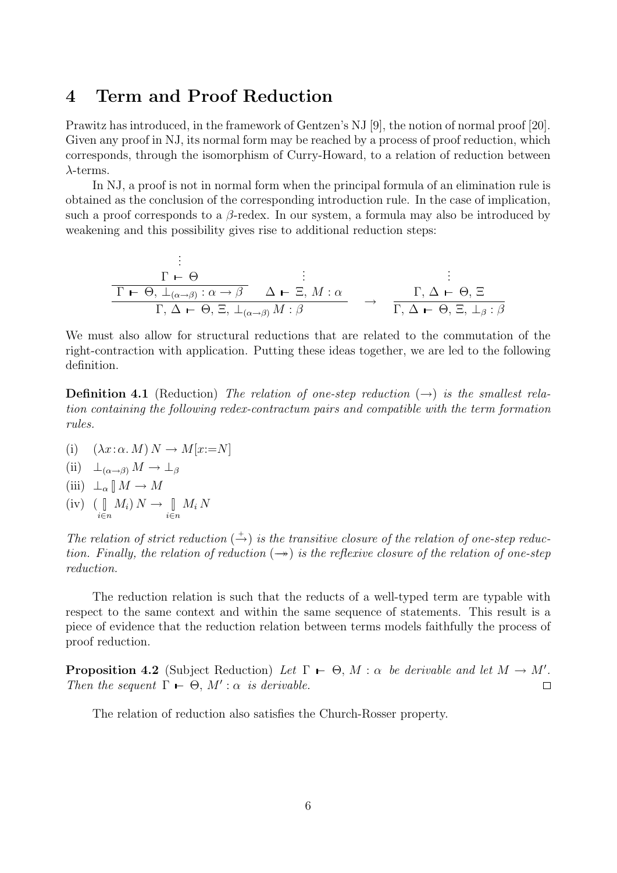### 4 Term and Proof Reduction

Prawitz has introduced, in the framework of Gentzen's NJ [9], the notion of normal proof [20]. Given any proof in NJ, its normal form may be reached by a process of proof reduction, which corresponds, through the isomorphism of Curry-Howard, to a relation of reduction between  $\lambda$ -terms.

In NJ, a proof is not in normal form when the principal formula of an elimination rule is obtained as the conclusion of the corresponding introduction rule. In the case of implication, such a proof corresponds to a  $\beta$ -redex. In our system, a formula may also be introduced by weakening and this possibility gives rise to additional reduction steps:

$$
\frac{\Gamma \vdash \Theta}{\Gamma \vdash \Theta, \bot_{(\alpha \to \beta)} : \alpha \to \beta} \xrightarrow{\vdots} \vdots
$$
\n
$$
\frac{\Gamma \vdash \Theta, \bot_{(\alpha \to \beta)} : \alpha \to \beta} {\Gamma, \Delta \vdash \Theta, \Xi, \bot_{(\alpha \to \beta)} M : \beta} \rightarrow \frac{\Gamma, \Delta \vdash \Theta, \Xi}{\Gamma, \Delta \vdash \Theta, \Xi, \bot_{\beta} : \beta}
$$

We must also allow for structural reductions that are related to the commutation of the right-contraction with application. Putting these ideas together, we are led to the following definition.

**Definition 4.1** (Reduction) The relation of one-step reduction  $(\rightarrow)$  is the smallest relation containing the following redex-contractum pairs and compatible with the term formation rules.

- (i)  $(\lambda x:\alpha \cdot M) N \rightarrow M[x:=N]$
- (ii)  $\perp_{(\alpha \to \beta)} M \to \perp_{\beta}$
- (iii)  $\perp_{\alpha} \parallel M \to M$
- $(iv)$   $\left( \begin{array}{c} \end{array} \right)$ i∈n  $M_i\, N \to \mathbb{I}$ i∈n  $M_i N$

The relation of strict reduction  $(\stackrel{+}{\rightarrow})$  is the transitive closure of the relation of one-step reduction. Finally, the relation of reduction  $(\rightarrow)$  is the reflexive closure of the relation of one-step reduction.

The reduction relation is such that the reducts of a well-typed term are typable with respect to the same context and within the same sequence of statements. This result is a piece of evidence that the reduction relation between terms models faithfully the process of proof reduction.

**Proposition 4.2** (Subject Reduction) Let  $\Gamma \vdash \Theta$ , M :  $\alpha$  be derivable and let  $M \rightarrow M'$ . Then the sequent  $\Gamma \vdash \Theta$ ,  $M' : \alpha$  is derivable.  $\Box$ 

The relation of reduction also satisfies the Church-Rosser property.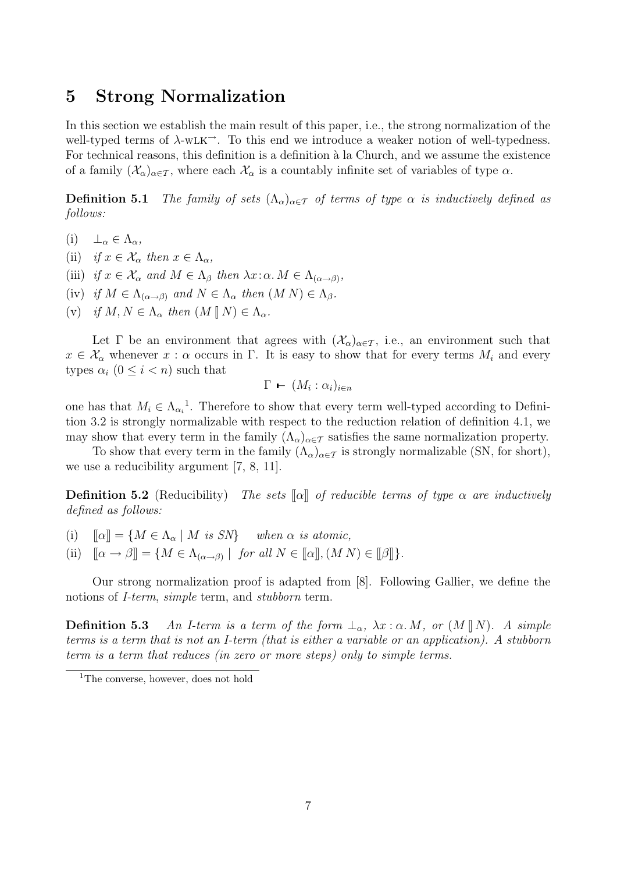#### 5 Strong Normalization

In this section we establish the main result of this paper, i.e., the strong normalization of the well-typed terms of  $\lambda$ -wLK<sup>- $\lambda$ </sup>. To this end we introduce a weaker notion of well-typedness. For technical reasons, this definition is a definition à la Church, and we assume the existence of a family  $(\mathcal{X}_{\alpha})_{\alpha \in \mathcal{T}}$ , where each  $\mathcal{X}_{\alpha}$  is a countably infinite set of variables of type  $\alpha$ .

**Definition 5.1** The family of sets  $(\Lambda_{\alpha})_{\alpha \in \mathcal{T}}$  of terms of type  $\alpha$  is inductively defined as follows:

- (i)  $\perp_{\alpha} \in \Lambda_{\alpha}$ ,
- (ii) if  $x \in \mathcal{X}_{\alpha}$  then  $x \in \Lambda_{\alpha}$ ,
- (iii) if  $x \in \mathcal{X}_{\alpha}$  and  $M \in \Lambda_{\beta}$  then  $\lambda x : \alpha \in \Lambda_{(\alpha \to \beta)},$
- (iv) if  $M \in \Lambda_{(\alpha \to \beta)}$  and  $N \in \Lambda_{\alpha}$  then  $(M N) \in \Lambda_{\beta}$ .
- (v) if  $M, N \in \Lambda_{\alpha}$  then  $(M \parallel N) \in \Lambda_{\alpha}$ .

Let  $\Gamma$  be an environment that agrees with  $(\mathcal{X}_{\alpha})_{\alpha \in \mathcal{T}}$ , i.e., an environment such that  $x \in \mathcal{X}_{\alpha}$  whenever  $x : \alpha$  occurs in  $\Gamma$ . It is easy to show that for every terms  $M_i$  and every types  $\alpha_i$   $(0 \leq i < n)$  such that

$$
\Gamma - (M_i : \alpha_i)_{i \in n}
$$

one has that  $M_i \in \Lambda_{\alpha_i}^{-1}$ . Therefore to show that every term well-typed according to Definition 3.2 is strongly normalizable with respect to the reduction relation of definition 4.1, we may show that every term in the family  $(\Lambda_{\alpha})_{\alpha \in \mathcal{T}}$  satisfies the same normalization property.

To show that every term in the family  $(\Lambda_{\alpha})_{\alpha \in \mathcal{T}}$  is strongly normalizable (SN, for short), we use a reducibility argument [7, 8, 11].

**Definition 5.2** (Reducibility) The sets  $\llbracket \alpha \rrbracket$  of reducible terms of type  $\alpha$  are inductively defined as follows:

(i)  $\llbracket \alpha \rrbracket = \{ M \in \Lambda_\alpha \mid M \text{ is } SN \}$  when  $\alpha$  is atomic,

(ii)  $[\![\alpha \to \beta]\!] = \{ M \in \Lambda_{(\alpha \to \beta)} \mid \text{ for all } N \in [\![\alpha]\!], (M N) \in [\![\beta]\!] \}.$ 

Our strong normalization proof is adapted from [8]. Following Gallier, we define the notions of *I-term, simple* term, and *stubborn* term.

**Definition 5.3** An I-term is a term of the form  $\perp_{\alpha}$ ,  $\lambda x : \alpha M$ , or  $(M \parallel N)$ . A simple terms is a term that is not an I-term (that is either a variable or an application). A stubborn term is a term that reduces (in zero or more steps) only to simple terms.

<sup>&</sup>lt;sup>1</sup>The converse, however, does not hold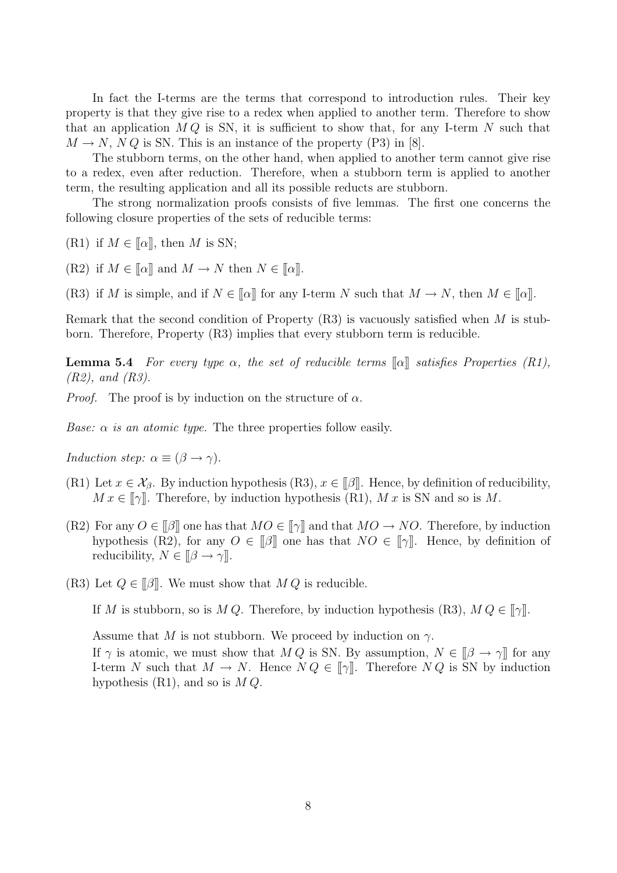In fact the I-terms are the terms that correspond to introduction rules. Their key property is that they give rise to a redex when applied to another term. Therefore to show that an application  $MQ$  is SN, it is sufficient to show that, for any I-term N such that  $M \to N$ , N Q is SN. This is an instance of the property (P3) in [8].

The stubborn terms, on the other hand, when applied to another term cannot give rise to a redex, even after reduction. Therefore, when a stubborn term is applied to another term, the resulting application and all its possible reducts are stubborn.

The strong normalization proofs consists of five lemmas. The first one concerns the following closure properties of the sets of reducible terms:

(R1) if  $M \in [\![\alpha]\!]$ , then M is SN;

(R2) if  $M \in [\![\alpha]\!]$  and  $M \to N$  then  $N \in [\![\alpha]\!]$ .

(R3) if M is simple, and if  $N \in [\![\alpha]\!]$  for any I-term N such that  $M \to N$ , then  $M \in [\![\alpha]\!]$ .

Remark that the second condition of Property  $(R3)$  is vacuously satisfied when M is stubborn. Therefore, Property (R3) implies that every stubborn term is reducible.

**Lemma 5.4** For every type  $\alpha$ , the set of reducible terms  $\alpha$  satisfies Properties (R1), (R2), and (R3).

*Proof.* The proof is by induction on the structure of  $\alpha$ .

Base:  $\alpha$  is an atomic type. The three properties follow easily.

Induction step:  $\alpha \equiv (\beta \rightarrow \gamma)$ .

- (R1) Let  $x \in \mathcal{X}_{\beta}$ . By induction hypothesis (R3),  $x \in \llbracket \beta \rrbracket$ . Hence, by definition of reducibility,  $M x \in [\![\gamma]\!]$ . Therefore, by induction hypothesis (R1), M x is SN and so is M.
- (R2) For any  $O \in \llbracket \beta \rrbracket$  one has that  $MO \in \llbracket \gamma \rrbracket$  and that  $MO \to NO$ . Therefore, by induction hypothesis (R2), for any  $O \in \mathcal{F}[\beta]$  one has that  $NO \in \mathcal{F}[\gamma]$ . Hence, by definition of reducibility,  $N \in [\![ \beta \to \gamma ]\!]$ .
- (R3) Let  $Q \in \mathcal{A}$ . We must show that  $M Q$  is reducible.

If M is stubborn, so is M Q. Therefore, by induction hypothesis (R3),  $M Q \in ||\gamma||$ .

Assume that M is not stubborn. We proceed by induction on  $\gamma$ .

If  $\gamma$  is atomic, we must show that  $M Q$  is SN. By assumption,  $N \in [\![\beta \to \gamma]\!]$  for any I-term N such that  $M \to N$ . Hence  $N Q \in [\![\gamma]\!]$ . Therefore  $N Q$  is SN by induction hypothesis  $(R1)$ , and so is  $MQ$ .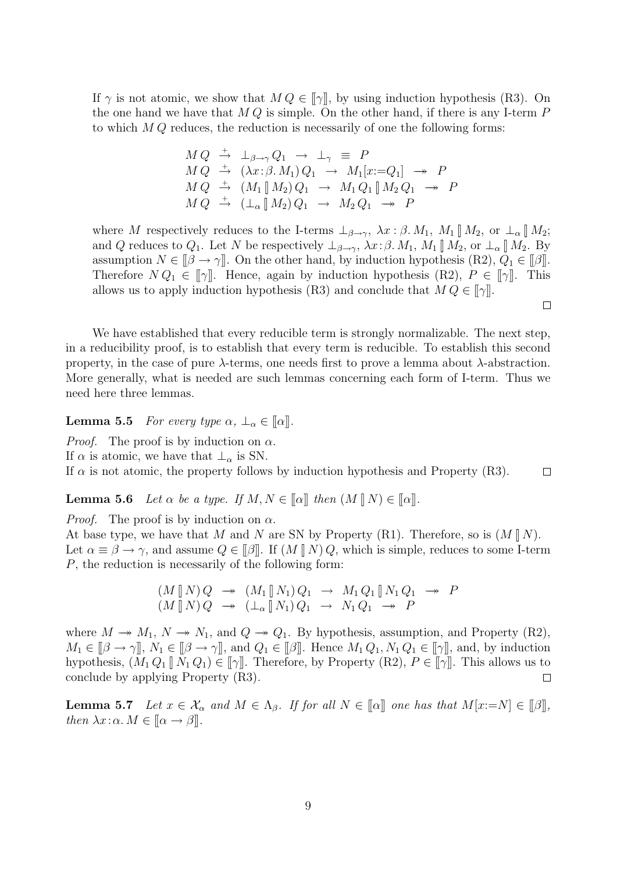If  $\gamma$  is not atomic, we show that  $M Q \in [\![\gamma]\!]$ , by using induction hypothesis (R3). On the one hand we have that  $M Q$  is simple. On the other hand, if there is any I-term  $P$ to which  $M Q$  reduces, the reduction is necessarily of one the following forms:

$$
M Q \stackrel{+}{\rightarrow} \perp_{\beta \to \gamma} Q_1 \to \perp_{\gamma} \equiv P
$$
  
\n
$$
M Q \stackrel{+}{\rightarrow} (\lambda x : \beta. M_1) Q_1 \to M_1[x := Q_1] \to P
$$
  
\n
$$
M Q \stackrel{+}{\rightarrow} (M_1 || M_2) Q_1 \to M_1 Q_1 || M_2 Q_1 \to P
$$
  
\n
$$
M Q \stackrel{+}{\rightarrow} (\perp_{\alpha} || M_2) Q_1 \to M_2 Q_1 \to P
$$

where M respectively reduces to the I-terms  $\perp_{\beta\to\gamma}$ ,  $\lambda x:\beta$ .  $M_1$ ,  $M_1 \parallel M_2$ , or  $\perp_{\alpha} \parallel M_2$ ; and Q reduces to  $Q_1$ . Let N be respectively  $\perp_{\beta\to\gamma}$ ,  $\lambda x:\beta$ .  $M_1$ ,  $M_1 \llbracket M_2$ , or  $\perp_{\alpha} \llbracket M_2$ . By assumption  $N \in [\beta \to \gamma]$ . On the other hand, by induction hypothesis  $(R2)$ ,  $Q_1 \in [\beta]$ . Therefore  $N Q_1 \in [\![\gamma]\!]$ . Hence, again by induction hypothesis  $(R2)$ ,  $P \in [\![\gamma]\!]$ . This allows us to apply induction hypothesis (R3) and conclude that  $M Q \in [\![\gamma]\!]$ .

 $\Box$ 

We have established that every reducible term is strongly normalizable. The next step, in a reducibility proof, is to establish that every term is reducible. To establish this second property, in the case of pure  $\lambda$ -terms, one needs first to prove a lemma about  $\lambda$ -abstraction. More generally, what is needed are such lemmas concerning each form of I-term. Thus we need here three lemmas.

**Lemma 5.5** For every type  $\alpha$ ,  $\perp_{\alpha} \in [\![\alpha]\!]$ .

*Proof.* The proof is by induction on  $\alpha$ . If  $\alpha$  is atomic, we have that  $\perp_{\alpha}$  is SN.

If  $\alpha$  is not atomic, the property follows by induction hypothesis and Property (R3).  $\Box$ 

**Lemma 5.6** Let  $\alpha$  be a type. If  $M, N \in [\![\alpha]\!]$  then  $(M \parallel N) \in [\![\alpha]\!]$ .

*Proof.* The proof is by induction on  $\alpha$ .

At base type, we have that M and N are SN by Property (R1). Therefore, so is  $(M \parallel N)$ . Let  $\alpha \equiv \beta \rightarrow \gamma$ , and assume  $Q \in [\![\beta]\!]$ . If  $(M \parallel N) Q$ , which is simple, reduces to some I-term P, the reduction is necessarily of the following form:

$$
(M \parallel N) Q \rightarrow (M_1 \parallel N_1) Q_1 \rightarrow M_1 Q_1 \parallel N_1 Q_1 \rightarrow P
$$
  

$$
(M \parallel N) Q \rightarrow (\perp_{\alpha} \parallel N_1) Q_1 \rightarrow N_1 Q_1 \rightarrow P
$$

where  $M \to M_1$ ,  $N \to N_1$ , and  $Q \to Q_1$ . By hypothesis, assumption, and Property (R2),  $M_1 \in [\![\beta \to \gamma]\!]$ ,  $N_1 \in [\![\beta \to \gamma]\!]$ , and  $Q_1 \in [\![\beta]\!]$ . Hence  $M_1 Q_1$ ,  $N_1 Q_1 \in [\![\gamma]\!]$ , and, by induction hypothesis,  $(M_1 Q_1 \| N_1 Q_1) \in [\![\gamma]\!]$ . Therefore, by Property  $(R2)$ ,  $P \in [\![\gamma]\!]$ . This allows us to conclude by applying Property (R3).  $\Box$ 

**Lemma 5.7** Let  $x \in \mathcal{X}_{\alpha}$  and  $M \in \Lambda_{\beta}$ . If for all  $N \in [\alpha]$  one has that  $M[x:=N] \in [\beta]$ , then  $\lambda x : \alpha \in [\alpha \rightarrow \beta]$ .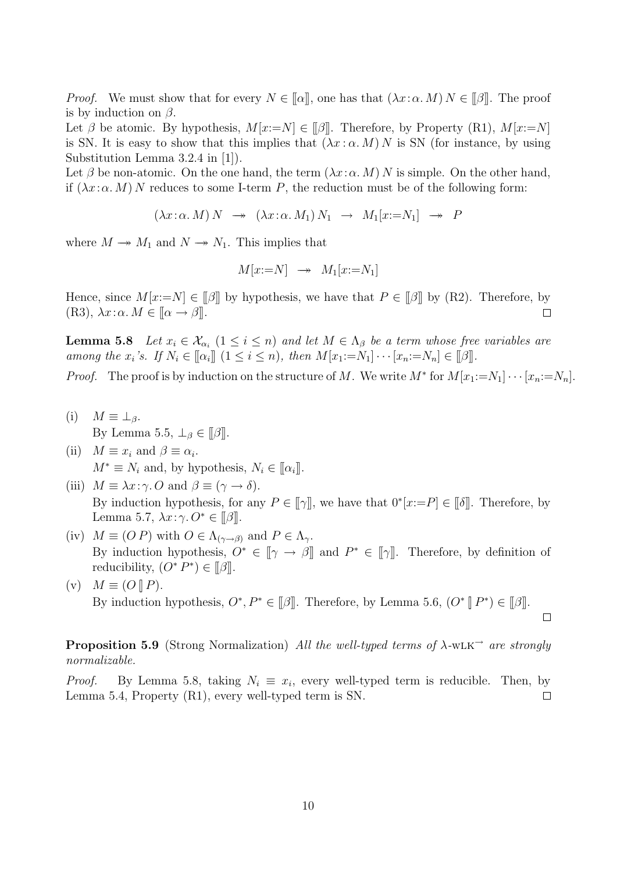*Proof.* We must show that for every  $N \in [\alpha]$ , one has that  $(\lambda x : \alpha M) N \in [\beta]$ . The proof is by induction on  $\beta$ .

Let  $\beta$  be atomic. By hypothesis,  $M[x:=N] \in [\![\beta]\!]$ . Therefore, by Property (R1),  $M[x:=N]$ is SN. It is easy to show that this implies that  $(\lambda x : \alpha M) N$  is SN (for instance, by using Substitution Lemma 3.2.4 in [1]).

Let  $\beta$  be non-atomic. On the one hand, the term  $(\lambda x:\alpha M)N$  is simple. On the other hand, if  $(\lambda x:\alpha M)$  N reduces to some I-term P, the reduction must be of the following form:

 $(\lambda x:\alpha \cdot M) N \rightarrow (\lambda x:\alpha \cdot M_1) N_1 \rightarrow M_1[x:=N_1] \rightarrow P$ 

where  $M \to M_1$  and  $N \to N_1$ . This implies that

$$
M[x:=N] \rightarrow M_1[x:=N_1]
$$

Hence, since  $M[x:=N] \in \mathcal{B}$  by hypothesis, we have that  $P \in \mathcal{B}$  by (R2). Therefore, by (R3),  $\lambda x : \alpha \in [\alpha \rightarrow \beta]$ .  $\Box$ 

**Lemma 5.8** Let  $x_i \in \mathcal{X}_{\alpha_i}$   $(1 \leq i \leq n)$  and let  $M \in \Lambda_{\beta}$  be a term whose free variables are among the  $x_i$ 's. If  $N_i \in [\![\alpha_i]\!]$   $(1 \leq i \leq n)$ , then  $M[x_1:=N_1] \cdots [x_n:=N_n] \in [\![\beta]\!]$ .

*Proof.* The proof is by induction on the structure of M. We write  $M^*$  for  $M[x_1:=N_1]\cdots[x_n:=N_n]$ .

- (i)  $M \equiv \perp_{\beta}$ . By Lemma 5.5,  $\bot_{\beta} \in [\![\beta]\!]$ .
- (ii)  $M \equiv x_i$  and  $\beta \equiv \alpha_i$ .  $M^* \equiv N_i$  and, by hypothesis,  $N_i \in [\![\alpha_i]\!]$ .
- (iii)  $M \equiv \lambda x : \gamma$ . O and  $\beta \equiv (\gamma \rightarrow \delta)$ . By induction hypothesis, for any  $P \in [\![\gamma]\!]$ , we have that  $0^*[x:=P] \in [\![\delta]\!]$ . Therefore, by Lemma 5.7,  $\lambda x:\gamma. O^* \in ||\beta||.$
- (iv)  $M \equiv (OP)$  with  $O \in \Lambda_{(\gamma \to \beta)}$  and  $P \in \Lambda_{\gamma}$ . By induction hypothesis,  $O^* \in [\![\gamma \rightarrow \beta]\!]$  and  $P^* \in [\![\gamma]\!]$ . Therefore, by definition of reducibility,  $(O^* P^*) \in [\![\beta]\!]$ .
- (v)  $M \equiv (O \parallel P)$ . By induction hypothesis,  $O^*, P^* \in [\![\beta]\!]$ . Therefore, by Lemma 5.6,  $(O^* \parallel P^*) \in [\![\beta]\!]$ .

 $\Box$ 

**Proposition 5.9** (Strong Normalization) All the well-typed terms of  $\lambda$ -wLK<sup> $\rightarrow$ </sup> are strongly normalizable.

*Proof.* By Lemma 5.8, taking  $N_i \equiv x_i$ , every well-typed term is reducible. Then, by Lemma 5.4, Property (R1), every well-typed term is SN.  $\Box$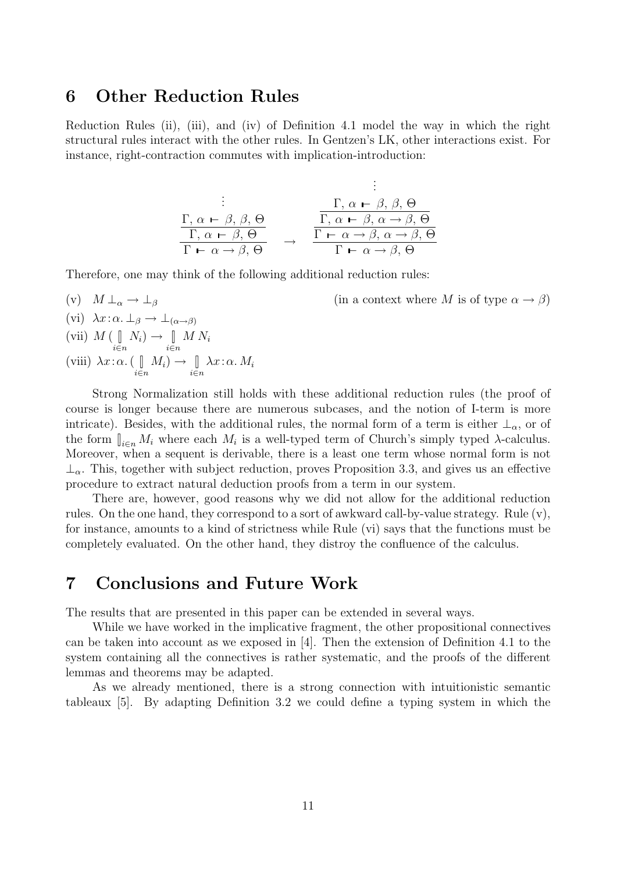#### 6 Other Reduction Rules

Reduction Rules (ii), (iii), and (iv) of Definition 4.1 model the way in which the right structural rules interact with the other rules. In Gentzen's LK, other interactions exist. For instance, right-contraction commutes with implication-introduction:

$$
\begin{array}{ccc}\n\vdots & \vdots & \vdots \\
\Gamma, \alpha \vdash \beta, \beta, \Theta & \Gamma, \alpha \vdash \beta, \beta, \Theta \\
\hline\n\Gamma, \alpha \vdash \beta, \Theta & \rightarrow & \Gamma \vdash \alpha \rightarrow \beta, \alpha \rightarrow \beta, \Theta \\
\Gamma \vdash \alpha \rightarrow \beta, \Theta & \Gamma \vdash \alpha \rightarrow \beta, \alpha \rightarrow \beta, \Theta\n\end{array}
$$

Therefore, one may think of the following additional reduction rules:

(v)  $M \perp_{\alpha} \to \perp_{\beta}$  (in a context where M is of type  $\alpha \to \beta$ ) (vi)  $\lambda x : \alpha \perp_{\beta} \rightarrow \perp_{(\alpha \rightarrow \beta)}$ (vii)  $M$  (  $\lbrack\!\lbrack$ i∈n  $N_i) \rightarrow \Box$ i∈n  $MN_i$ (viii)  $\lambda x:\alpha$ . (  $\parallel$ i∈n  $M_i) \rightarrow \Box$ i∈n  $\lambda x \,:\, \alpha \,.\, M_i$ 

Strong Normalization still holds with these additional reduction rules (the proof of course is longer because there are numerous subcases, and the notion of I-term is more intricate). Besides, with the additional rules, the normal form of a term is either  $\perp_{\alpha}$ , or of the form  $\int_{i \in n} M_i$  where each  $M_i$  is a well-typed term of Church's simply typed  $\lambda$ -calculus. Moreover, when a sequent is derivable, there is a least one term whose normal form is not  $\perp_{\alpha}$ . This, together with subject reduction, proves Proposition 3.3, and gives us an effective procedure to extract natural deduction proofs from a term in our system.

There are, however, good reasons why we did not allow for the additional reduction rules. On the one hand, they correspond to a sort of awkward call-by-value strategy. Rule (v), for instance, amounts to a kind of strictness while Rule (vi) says that the functions must be completely evaluated. On the other hand, they distroy the confluence of the calculus.

#### 7 Conclusions and Future Work

The results that are presented in this paper can be extended in several ways.

While we have worked in the implicative fragment, the other propositional connectives can be taken into account as we exposed in [4]. Then the extension of Definition 4.1 to the system containing all the connectives is rather systematic, and the proofs of the different lemmas and theorems may be adapted.

As we already mentioned, there is a strong connection with intuitionistic semantic tableaux [5]. By adapting Definition 3.2 we could define a typing system in which the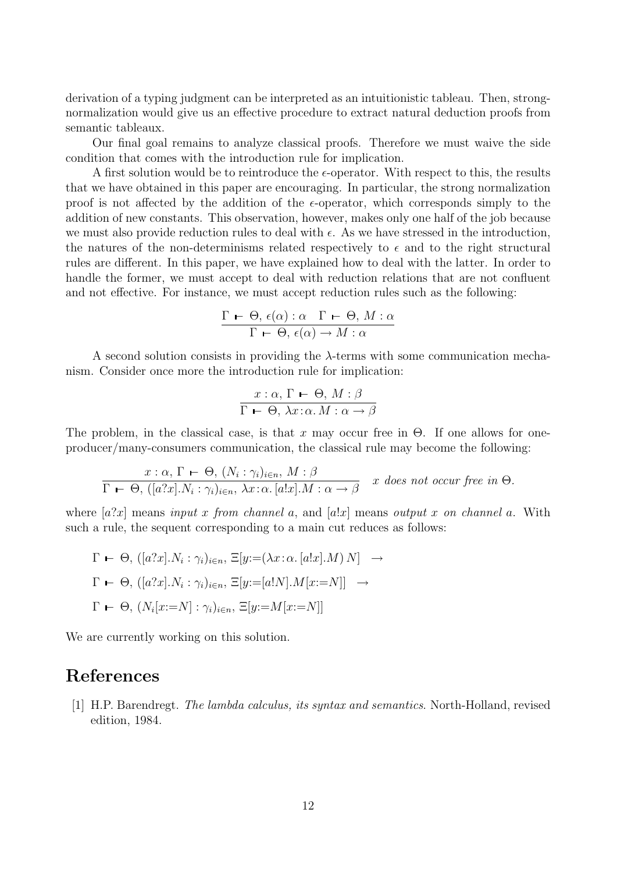derivation of a typing judgment can be interpreted as an intuitionistic tableau. Then, strongnormalization would give us an effective procedure to extract natural deduction proofs from semantic tableaux.

Our final goal remains to analyze classical proofs. Therefore we must waive the side condition that comes with the introduction rule for implication.

A first solution would be to reintroduce the  $\epsilon$ -operator. With respect to this, the results that we have obtained in this paper are encouraging. In particular, the strong normalization proof is not affected by the addition of the  $\epsilon$ -operator, which corresponds simply to the addition of new constants. This observation, however, makes only one half of the job because we must also provide reduction rules to deal with  $\epsilon$ . As we have stressed in the introduction, the natures of the non-determinisms related respectively to  $\epsilon$  and to the right structural rules are different. In this paper, we have explained how to deal with the latter. In order to handle the former, we must accept to deal with reduction relations that are not confluent and not effective. For instance, we must accept reduction rules such as the following:

$$
\frac{\Gamma \vdash \Theta, \epsilon(\alpha) : \alpha \quad \Gamma \vdash \Theta, M : \alpha}{\Gamma \vdash \Theta, \epsilon(\alpha) \rightarrow M : \alpha}
$$

A second solution consists in providing the  $\lambda$ -terms with some communication mechanism. Consider once more the introduction rule for implication:

$$
\frac{x:\alpha, \Gamma \vdash \Theta, M:\beta}{\Gamma \vdash \Theta, \lambda x:\alpha. M:\alpha \rightarrow \beta}
$$

The problem, in the classical case, is that x may occur free in  $\Theta$ . If one allows for oneproducer/many-consumers communication, the classical rule may become the following:

$$
\frac{x:\alpha, \Gamma \vdash \Theta, (N_i : \gamma_i)_{i \in n}, M : \beta}{\Gamma \vdash \Theta, ([a?x].N_i : \gamma_i)_{i \in n}, \lambda x : \alpha. [a!x].M : \alpha \to \beta} \quad x \text{ does not occur free in } \Theta.
$$

where  $[a?x]$  means input x from channel a, and  $[a!x]$  means output x on channel a. With such a rule, the sequent corresponding to a main cut reduces as follows:

$$
\Gamma \leftarrow \Theta, ([a?x].N_i : \gamma_i)_{i \in n}, \Xi[y := (\lambda x : \alpha, [a!x].M) N] \rightarrow
$$
  
\n
$$
\Gamma \leftarrow \Theta, ([a?x].N_i : \gamma_i)_{i \in n}, \Xi[y := [a!N].M[x := N]] \rightarrow
$$
  
\n
$$
\Gamma \leftarrow \Theta, (N_i[x := N] : \gamma_i)_{i \in n}, \Xi[y := M[x := N]]
$$

We are currently working on this solution.

# References

[1] H.P. Barendregt. The lambda calculus, its syntax and semantics. North-Holland, revised edition, 1984.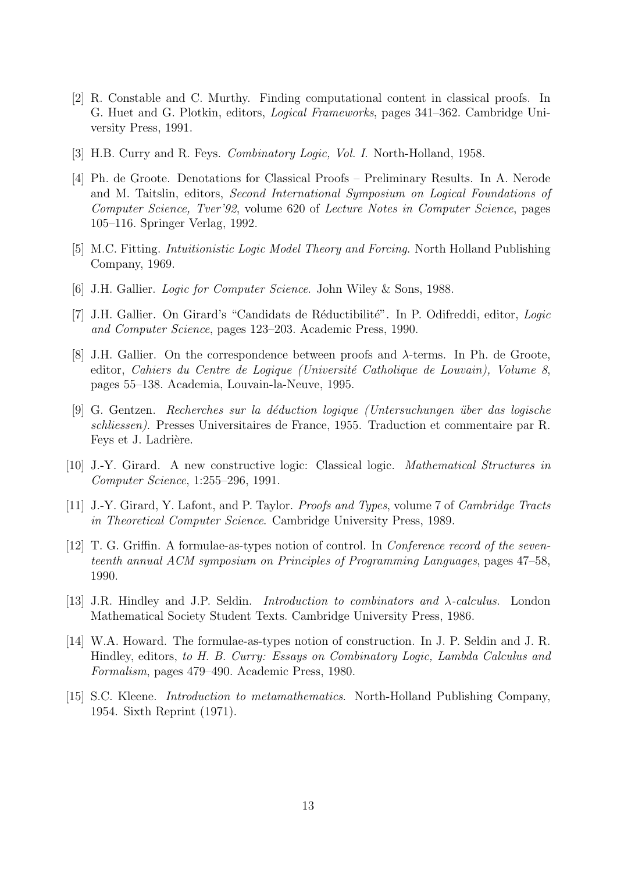- [2] R. Constable and C. Murthy. Finding computational content in classical proofs. In G. Huet and G. Plotkin, editors, Logical Frameworks, pages 341–362. Cambridge University Press, 1991.
- [3] H.B. Curry and R. Feys. *Combinatory Logic, Vol. I.* North-Holland, 1958.
- [4] Ph. de Groote. Denotations for Classical Proofs Preliminary Results. In A. Nerode and M. Taitslin, editors, Second International Symposium on Logical Foundations of Computer Science, Tver'92, volume 620 of Lecture Notes in Computer Science, pages 105–116. Springer Verlag, 1992.
- [5] M.C. Fitting. Intuitionistic Logic Model Theory and Forcing. North Holland Publishing Company, 1969.
- [6] J.H. Gallier. Logic for Computer Science. John Wiley & Sons, 1988.
- [7] J.H. Gallier. On Girard's "Candidats de Réductibilité". In P. Odifreddi, editor, Logic and Computer Science, pages 123–203. Academic Press, 1990.
- [8] J.H. Gallier. On the correspondence between proofs and λ-terms. In Ph. de Groote, editor, Cahiers du Centre de Logique (Université Catholique de Louvain), Volume 8, pages 55–138. Academia, Louvain-la-Neuve, 1995.
- [9] G. Gentzen. Recherches sur la d´eduction logique (Untersuchungen ¨uber das logische schliessen). Presses Universitaires de France, 1955. Traduction et commentaire par R. Feys et J. Ladrière.
- [10] J.-Y. Girard. A new constructive logic: Classical logic. Mathematical Structures in Computer Science, 1:255–296, 1991.
- [11] J.-Y. Girard, Y. Lafont, and P. Taylor. Proofs and Types, volume 7 of Cambridge Tracts in Theoretical Computer Science. Cambridge University Press, 1989.
- [12] T. G. Griffin. A formulae-as-types notion of control. In *Conference record of the seven*teenth annual ACM symposium on Principles of Programming Languages, pages 47–58, 1990.
- [13] J.R. Hindley and J.P. Seldin. Introduction to combinators and λ-calculus. London Mathematical Society Student Texts. Cambridge University Press, 1986.
- [14] W.A. Howard. The formulae-as-types notion of construction. In J. P. Seldin and J. R. Hindley, editors, to H. B. Curry: Essays on Combinatory Logic, Lambda Calculus and Formalism, pages 479–490. Academic Press, 1980.
- [15] S.C. Kleene. *Introduction to metamathematics*. North-Holland Publishing Company, 1954. Sixth Reprint (1971).